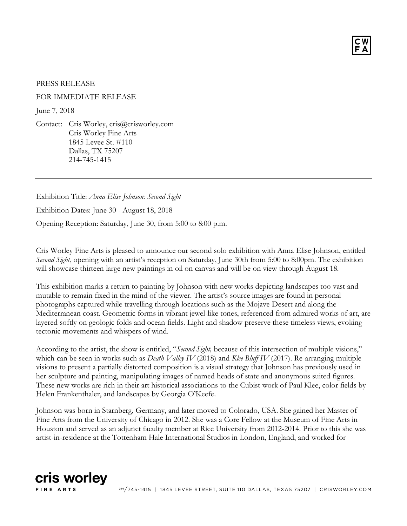

## PRESS RELEASE

## FOR IMMEDIATE RELEASE

June 7, 2018

Contact: Cris Worley, cris@crisworley.com Cris Worley Fine Arts 1845 Levee St. #110 Dallas, TX 75207 214-745-1415

Exhibition Title: *Anna Elise Johnson: Second Sight*

Exhibition Dates: June 30 - August 18, 2018

Opening Reception: Saturday, June 30, from 5:00 to 8:00 p.m.

Cris Worley Fine Arts is pleased to announce our second solo exhibition with Anna Elise Johnson, entitled *Second Sight*, opening with an artist's reception on Saturday, June 30th from 5:00 to 8:00pm. The exhibition will showcase thirteen large new paintings in oil on canvas and will be on view through August 18.

This exhibition marks a return to painting by Johnson with new works depicting landscapes too vast and mutable to remain fixed in the mind of the viewer. The artist's source images are found in personal photographs captured while travelling through locations such as the Mojave Desert and along the Mediterranean coast. Geometric forms in vibrant jewel-like tones, referenced from admired works of art, are layered softly on geologic folds and ocean fields. Light and shadow preserve these timeless views, evoking tectonic movements and whispers of wind.

According to the artist, the show is entitled, "*Second Sight,* because of this intersection of multiple visions," which can be seen in works such as *Death Valley IV* (2018) and *Klee Bluff IV* (2017). Re-arranging multiple visions to present a partially distorted composition is a visual strategy that Johnson has previously used in her sculpture and painting, manipulating images of named heads of state and anonymous suited figures. These new works are rich in their art historical associations to the Cubist work of Paul Klee, color fields by Helen Frankenthaler, and landscapes by Georgia O'Keefe.

Johnson was born in Starnberg, Germany, and later moved to Colorado, USA. She gained her Master of Fine Arts from the University of Chicago in 2012. She was a Core Fellow at the Museum of Fine Arts in Houston and served as an adjunct faculty member at Rice University from 2012-2014. Prior to this she was artist-in-residence at the Tottenham Hale International Studios in London, England, and worked for